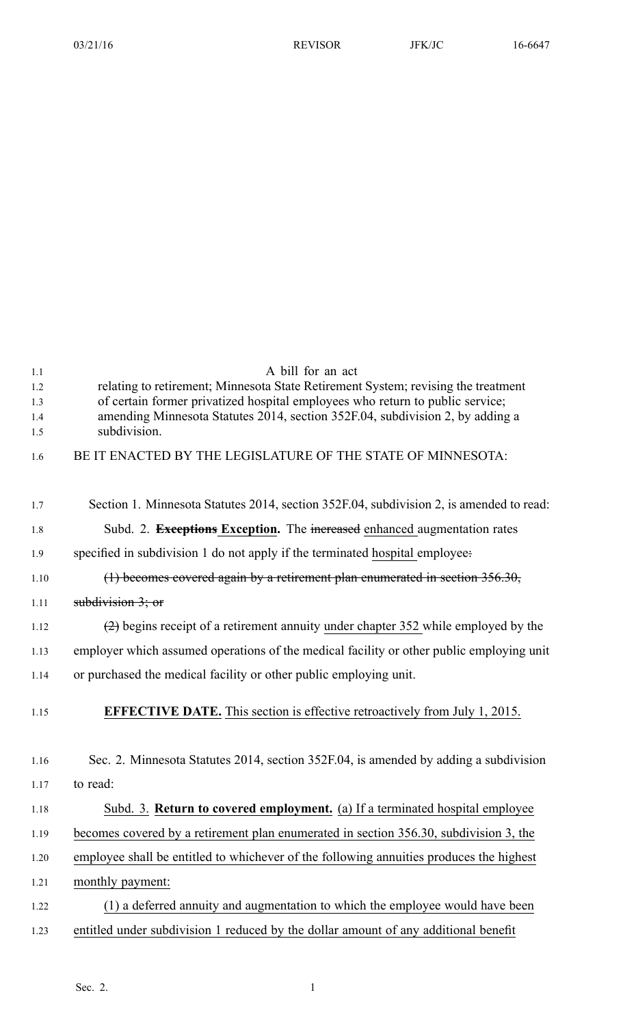| 1.1<br>1.2<br>1.3<br>1.4<br>1.5 | A bill for an act<br>relating to retirement; Minnesota State Retirement System; revising the treatment<br>of certain former privatized hospital employees who return to public service;<br>amending Minnesota Statutes 2014, section 352F.04, subdivision 2, by adding a<br>subdivision. |
|---------------------------------|------------------------------------------------------------------------------------------------------------------------------------------------------------------------------------------------------------------------------------------------------------------------------------------|
| 1.6                             | BE IT ENACTED BY THE LEGISLATURE OF THE STATE OF MINNESOTA:                                                                                                                                                                                                                              |
| 1.7                             | Section 1. Minnesota Statutes 2014, section 352F.04, subdivision 2, is amended to read:                                                                                                                                                                                                  |
| 1.8                             | Subd. 2. Exceptions Exception. The increased enhanced augmentation rates                                                                                                                                                                                                                 |
| 1.9                             | specified in subdivision 1 do not apply if the terminated hospital employee.                                                                                                                                                                                                             |
| 1.10                            | $(1)$ becomes covered again by a retirement plan enumerated in section 356.30,                                                                                                                                                                                                           |
| 1.11                            | subdivision $3$ ; or                                                                                                                                                                                                                                                                     |
| 1.12                            | $(2)$ begins receipt of a retirement annuity under chapter 352 while employed by the                                                                                                                                                                                                     |
| 1.13                            | employer which assumed operations of the medical facility or other public employing unit                                                                                                                                                                                                 |
| 1.14                            | or purchased the medical facility or other public employing unit.                                                                                                                                                                                                                        |
| 1.15                            | <b>EFFECTIVE DATE.</b> This section is effective retroactively from July 1, 2015.                                                                                                                                                                                                        |
| 1.16                            | Sec. 2. Minnesota Statutes 2014, section 352F.04, is amended by adding a subdivision                                                                                                                                                                                                     |
| 1.17                            | to read:                                                                                                                                                                                                                                                                                 |
| 1.18                            | Subd. 3. Return to covered employment. (a) If a terminated hospital employee                                                                                                                                                                                                             |
| 1.19                            | becomes covered by a retirement plan enumerated in section 356.30, subdivision 3, the                                                                                                                                                                                                    |
| $1.20\,$                        | employee shall be entitled to whichever of the following annuities produces the highest                                                                                                                                                                                                  |
| 1.21                            | monthly payment:                                                                                                                                                                                                                                                                         |
| 1.22                            | (1) a deferred annuity and augmentation to which the employee would have been                                                                                                                                                                                                            |
| 1.23                            | entitled under subdivision 1 reduced by the dollar amount of any additional benefit                                                                                                                                                                                                      |